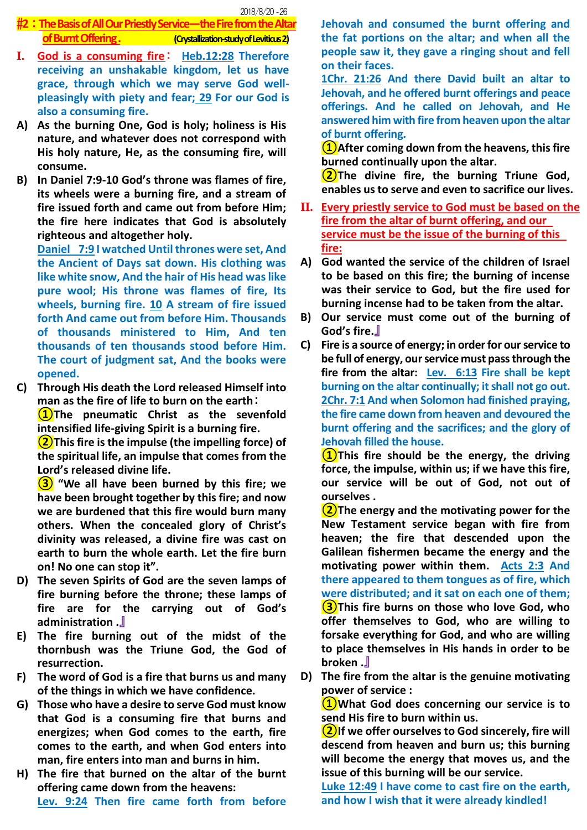## 2018/8/20‐26 #**2**:**The Basis of All Our Priestly Service—the Fire from the Altar of Burnt Offering . (Crystallization-study of Leviticus 2)**

- **I. God is a consuming fire**: **Heb.12:28 Therefore receiving an unshakable kingdom, let us have grace, through which we may serve God wellpleasingly with piety and fear; 29 For our God is also a consuming fire.**
- **A) As the burning One, God is holy; holiness is His nature, and whatever does not correspond with His holy nature, He, as the consuming fire, will consume.**
- **B) In Daniel 7:9-10 God's throne was flames of fire, its wheels were a burning fire, and a stream of fire issued forth and came out from before Him; the fire here indicates that God is absolutely righteous and altogether holy.**

**Daniel 7:9 I watched Until thrones were set, And the Ancient of Days sat down. His clothing was like white snow, And the hair of His head was like pure wool; His throne was flames of fire, Its wheels, burning fire. 10 A stream of fire issued forth And came out from before Him. Thousands of thousands ministered to Him, And ten thousands of ten thousands stood before Him. The court of judgment sat, And the books were opened.**

**C) Through His death the Lord released Himself into man as the fire of life to burn on the earth**:

**①The pneumatic Christ as the sevenfold intensified life-giving Spirit is a burning fire.**

**②This fire is the impulse (the impelling force) of the spiritual life, an impulse that comes from the Lord's released divine life.**

**③ "We all have been burned by this fire; we have been brought together by this fire; and now we are burdened that this fire would burn many others. When the concealed glory of Christ's divinity was released, a divine fire was cast on earth to burn the whole earth. Let the fire burn on! No one can stop it".**

- **D) The seven Spirits of God are the seven lamps of fire burning before the throne; these lamps of fire are for the carrying out of God's administration .**』
- **E) The fire burning out of the midst of the thornbush was the Triune God, the God of resurrection.**
- **F) The word of God is a fire that burns us and many of the things in which we have confidence.**
- **G) Those who have a desire to serve God must know that God is a consuming fire that burns and energizes; when God comes to the earth, fire comes to the earth, and when God enters into man, fire enters into man and burns in him.**
- **H) The fire that burned on the altar of the burnt offering came down from the heavens: Lev. 9:24 Then fire came forth from before**

**Jehovah and consumed the burnt offering and the fat portions on the altar; and when all the people saw it, they gave a ringing shout and fell on their faces.** 

**1Chr. 21:26 And there David built an altar to Jehovah, and he offered burnt offerings and peace offerings. And he called on Jehovah, and He answered him with fire from heaven upon the altar of burnt offering.**

**①After coming down from the heavens, this fire burned continually upon the altar.**

**②The divine fire, the burning Triune God, enables us to serve and even to sacrifice our lives.**

- **II. Every priestly service to God must be based on the fire from the altar of burnt offering, and our service must be the issue of the burning of this fire:**
- **A) God wanted the service of the children of Israel to be based on this fire; the burning of incense was their service to God, but the fire used for burning incense had to be taken from the altar.**
- **B) Our service must come out of the burning of God's fire.**』
- **C) Fire is a source of energy; in order for our service to be full of energy, our service must pass through the fire from the altar: Lev. 6:13 Fire shall be kept burning on the altar continually; it shall not go out. 2Chr. 7:1 And when Solomon had finished praying, the fire came down from heaven and devoured the burnt offering and the sacrifices; and the glory of Jehovah filled the house.**

**①This fire should be the energy, the driving force, the impulse, within us; if we have this fire, our service will be out of God, not out of ourselves .**

**②The energy and the motivating power for the New Testament service began with fire from heaven; the fire that descended upon the Galilean fishermen became the energy and the motivating power within them. Acts 2:3 And there appeared to them tongues as of fire, which were distributed; and it sat on each one of them; ③This fire burns on those who love God, who offer themselves to God, who are willing to forsake everything for God, and who are willing to place themselves in His hands in order to be broken .**』

**D) The fire from the altar is the genuine motivating power of service :**

**①What God does concerning our service is to send His fire to burn within us.**

**②If we offer ourselves to God sincerely, fire will descend from heaven and burn us; this burning will become the energy that moves us, and the issue of this burning will be our service.**

**Luke 12:49 I have come to cast fire on the earth, and how I wish that it were already kindled!**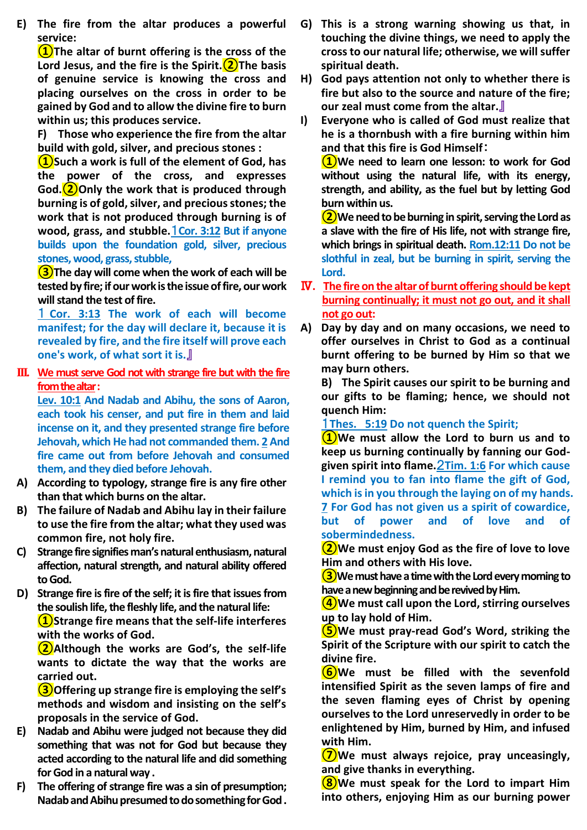**E) The fire from the altar produces a powerful service:**

**①The altar of burnt offering is the cross of the Lord Jesus, and the fire is the Spirit.②The basis of genuine service is knowing the cross and placing ourselves on the cross in order to be gained by God and to allow the divine fire to burn within us; this produces service.**

**F) Those who experience the fire from the altar build with gold, silver, and precious stones :** 

**①Such a work is full of the element of God, has the power of the cross, and expresses God.②Only the work that is produced through burning is of gold, silver, and precious stones; the work that is not produced through burning is of wood, grass, and stubble.**1**Cor. 3:12 But if anyone builds upon the foundation gold, silver, precious stones, wood, grass, stubble,**

**③The day will come when the work of each will be tested by fire; if our work is the issue of fire, our work will stand the test of fire.**

1 **Cor. 3:13 The work of each will become manifest; for the day will declare it, because it is revealed by fire, and the fire itself will prove each one's work, of what sort it is.**』

**III. We must serve God not with strange fire but with the fire from the altar:**

**Lev. 10:1 And Nadab and Abihu, the sons of Aaron, each took his censer, and put fire in them and laid incense on it, and they presented strange fire before Jehovah, which He had not commanded them. 2 And fire came out from before Jehovah and consumed them, and they died before Jehovah.**

- **A) According to typology, strange fire is any fire other than that which burns on the altar.**
- **B) The failure of Nadab and Abihu lay in their failure to use the fire from the altar; what they used was common fire, not holy fire.**
- **C) Strange fire signifies man's natural enthusiasm, natural affection, natural strength, and natural ability offered to God.**

**D) Strange fire is fire of the self; it is fire that issues from the soulish life, the fleshly life, and the natural life: ①Strange fire means that the self-life interferes with the works of God.**

**②Although the works are God's, the self-life wants to dictate the way that the works are carried out.**

**③Offering up strange fire is employing the self's methods and wisdom and insisting on the self's proposals in the service of God.**

- **E) Nadab and Abihu were judged not because they did something that was not for God but because they acted according to the natural life and did something for God in a natural way .**
- **F) The offering of strange fire was a sin of presumption; Nadab and Abihu presumed to do something for God .**
- **G) This is a strong warning showing us that, in touching the divine things, we need to apply the cross to our natural life; otherwise, we will suffer spiritual death.**
- **H) God pays attention not only to whether there is fire but also to the source and nature of the fire; our zeal must come from the altar.**』
- **I) Everyone who is called of God must realize that he is a thornbush with a fire burning within him and that this fire is God Himself**:

**①We need to learn one lesson: to work for God without using the natural life, with its energy, strength, and ability, as the fuel but by letting God burn within us.**

**②We need to be burning in spirit, serving the Lord as a slave with the fire of His life, not with strange fire, which brings in spiritual death. Rom.12:11 Do not be slothful in zeal, but be burning in spirit, serving the Lord.** 

- Ⅳ**. The fire on the altar of burnt offering should be kept burning continually; it must not go out, and it shall not go out:**
- **A) Day by day and on many occasions, we need to offer ourselves in Christ to God as a continual burnt offering to be burned by Him so that we may burn others.**

**B) The Spirit causes our spirit to be burning and our gifts to be flaming; hence, we should not quench Him:**

1**Thes. 5:19 Do not quench the Spirit;**

**①We must allow the Lord to burn us and to keep us burning continually by fanning our Godgiven spirit into flame.**2**Tim. 1:6 For which cause I remind you to fan into flame the gift of God, which is in you through the laying on of my hands. 7 For God has not given us a spirit of cowardice, but of power and of love and of sobermindedness.**

**②We must enjoy God as the fire of love to love Him and others with His love.**

**③We must have a time with the Lord every morning to**  have a new beginning and be revived by Him.

**④We must call upon the Lord, stirring ourselves up to lay hold of Him.**

**⑤We must pray-read God's Word, striking the Spirit of the Scripture with our spirit to catch the divine fire.** 

**⑥We must be filled with the sevenfold intensified Spirit as the seven lamps of fire and the seven flaming eyes of Christ by opening ourselves to the Lord unreservedly in order to be enlightened by Him, burned by Him, and infused with Him.**

**⑦We must always rejoice, pray unceasingly, and give thanks in everything.**

**⑧We must speak for the Lord to impart Him into others, enjoying Him as our burning power**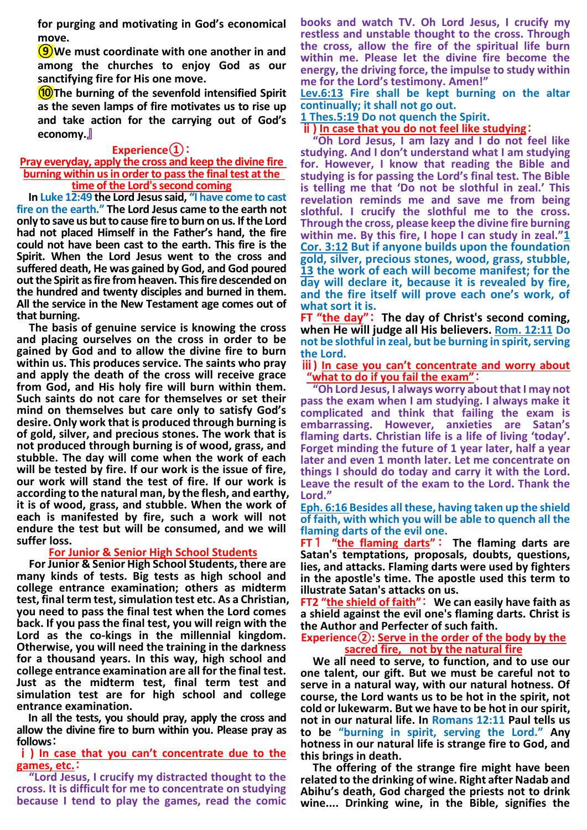**for purging and motivating in God's economical move.**

**⑨We must coordinate with one another in and among the churches to enjoy God as our sanctifying fire for His one move.** 

**⑩The burning of the sevenfold intensified Spirit as the seven lamps of fire motivates us to rise up and take action for the carrying out of God's economy.**』

# **Experience①**:

**Pray everyday, apply the cross and keep the divine fire burning within us in order to pass the final test at the time of the Lord's second coming**

**In Luke 12:49 the Lord Jesus said, "I have come to cast fire on the earth." The Lord Jesus came to the earth not only to save us but to cause fire to burn on us. If the Lord had not placed Himself in the Father's hand, the fire could not have been cast to the earth. This fire is the Spirit. When the Lord Jesus went to the cross and suffered death, He was gained by God, and God poured out the Spirit as fire from heaven. This fire descended on the hundred and twenty disciples and burned in them. All the service in the New Testament age comes out of that burning.**

**The basis of genuine service is knowing the cross and placing ourselves on the cross in order to be gained by God and to allow the divine fire to burn within us. This produces service. The saints who pray and apply the death of the cross will receive grace from God, and His holy fire will burn within them. Such saints do not care for themselves or set their mind on themselves but care only to satisfy God's desire.Only work that is produced through burning is of gold, silver, and precious stones. The work that is not produced through burning is of wood, grass, and stubble. The day will come when the work of each will be tested by fire. If our work is the issue of fire, our work will stand the test of fire. If our work is according to the natural man, by the flesh, and earthy, it is of wood, grass, and stubble. When the work of each is manifested by fire, such a work will not endure the test but will be consumed, and we will suffer loss.**

## **For Junior & Senior High School Students**

**For Junior & Senior High School Students, there are many kinds of tests. Big tests as high school and college entrance examination; others as midterm test, final term test, simulation test etc. As a Christian, you need to pass the final test when the Lord comes back. If you pass the final test, you will reign with the Lord as the co-kings in the millennial kingdom. Otherwise, you will need the training in the darkness for a thousand years. In this way, high school and college entrance examination are all for the final test. Just as the midterm test, final term test and simulation test are for high school and college entrance examination.**

**In all the tests, you should pray, apply the cross and allow the divine fire to burn within you. Please pray as follows**:

ⅰ**) In case that you can't concentrate due to the games, etc.**:

**"Lord Jesus, I crucify my distracted thought to the cross. It is difficult for me to concentrate on studying because I tend to play the games, read the comic**  **books and watch TV. Oh Lord Jesus, I crucify my restless and unstable thought to the cross. Through the cross, allow the fire of the spiritual life burn within me. Please let the divine fire become the energy, the driving force, the impulse to study within me for the Lord's testimony. Amen!"**

**Lev.6:13 Fire shall be kept burning on the altar continually; it shall not go out.**

**1 Thes.5:19 Do not quench the Spirit.**

ⅱ**) In case that you do not feel like studying**:

**"Oh Lord Jesus, I am lazy and I do not feel like studying. And I don't understand what I am studying for. However, I know that reading the Bible and studying is for passing the Lord's final test. The Bible is telling me that 'Do not be slothful in zeal.' This revelation reminds me and save me from being slothful. I crucify the slothful me to the cross. Through the cross, please keep the divine fire burning within me. By this fire, I hope I can study in zeal."1 Cor. 3:12 But if anyone builds upon the foundation gold, silver, precious stones, wood, grass, stubble, 13 the work of each will become manifest; for the day will declare it, because it is revealed by fire, and the fire itself will prove each one's work, of what sort it is.**

**FT "the day"**: **The day of Christ's second coming, when He will judge all His believers. Rom. 12:11 Do not be slothful in zeal, but be burning in spirit, serving the Lord.**

ⅲ**) In case you can't concentrate and worry about "what to do if you fail the exam"**:

**"Oh Lord Jesus, I always worry about that I may not pass the exam when I am studying. I always make it complicated and think that failing the exam is embarrassing. However, anxieties are Satan's flaming darts. Christian life is a life of living 'today'. Forget minding the future of 1 year later, half a year later and even 1 month later. Let me concentrate on things I should do today and carry it with the Lord. Leave the result of the exam to the Lord. Thank the Lord."**

**Eph. 6:16 Besides all these, having taken up the shield of faith, with which you will be able to quench all the flaming darts of the evil one.**

**"the flaming darts"**: The flaming darts are **Satan's temptations, proposals, doubts, questions, lies, and attacks. Flaming darts were used by fighters in the apostle's time. The apostle used this term to illustrate Satan's attacks on us.**

**FT2 "the shield of faith"**: **We can easily have faith as a shield against the evil one's flaming darts. Christ is the Author and Perfecter of such faith.**

### **Experience②: Serve in the order of the body by the sacred fire, not by the natural fire**

**We all need to serve, to function, and to use our one talent, our gift. But we must be careful not to serve in a natural way, with our natural hotness. Of course, the Lord wants us to be hot in the spirit, not cold or lukewarm. But we have to be hot in our spirit, not in our natural life. In Romans 12:11 Paul tells us to be "burning in spirit, serving the Lord." Any hotness in our natural life is strange fire to God, and this brings in death.**

**The offering of the strange fire might have been related to the drinking of wine. Right after Nadab and Abihu's death, God charged the priests not to drink wine.... Drinking wine, in the Bible, signifies the**